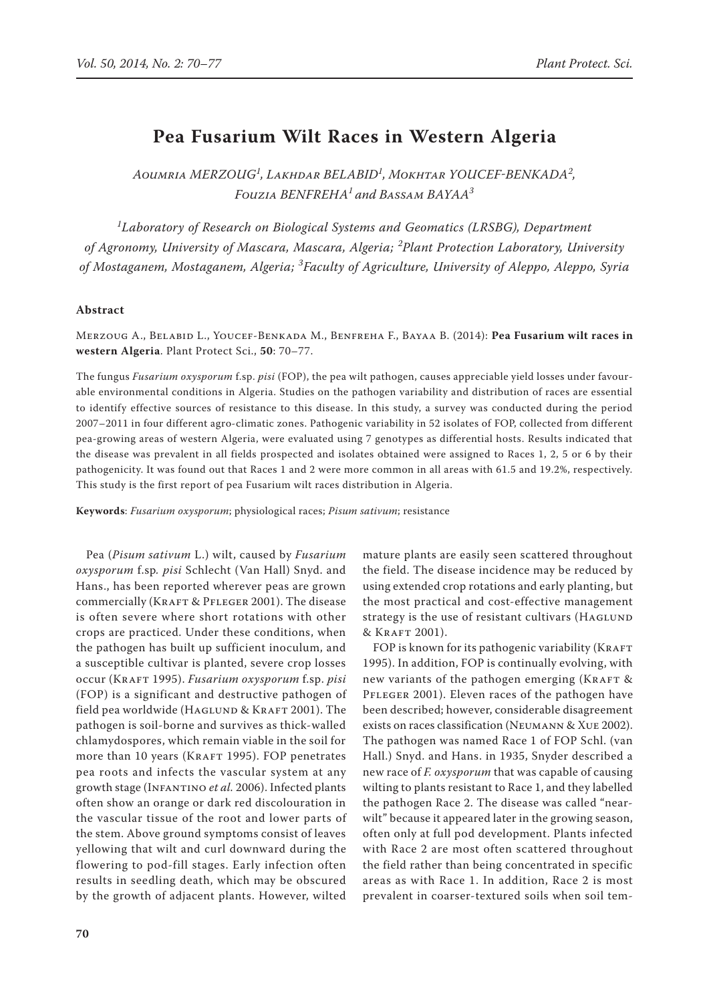# **Pea Fusarium Wilt Races in Western Algeria**

*Aoumria Merzoug<sup>1</sup> , Lakhdar Belabid<sup>1</sup> , Mokhtar Youcef-Benkada<sup>2</sup> , Fouzia Benfreha<sup>1</sup> and Bassam Bayaa<sup>3</sup>*

*1 Laboratory of Research on Biological Systems and Geomatics (LRSBG), Department of Agronomy, University of Mascara, Mascara, Algeria; <sup>2</sup> Plant Protection Laboratory, University of Mostaganem, Mostaganem, Algeria; <sup>3</sup> Faculty of Agriculture, University of Aleppo, Aleppo, Syria*

### **Abstract**

Merzoug A., Belabid L., Youcef-Benkada M., Benfreha F., Bayaa B. (2014): **Pea Fusarium wilt races in western Algeria**. Plant Protect Sci., **50**: 70–77.

The fungus *Fusarium oxysporum* f.sp. *pisi* (FOP), the pea wilt pathogen, causes appreciable yield losses under favourable environmental conditions in Algeria. Studies on the pathogen variability and distribution of races are essential to identify effective sources of resistance to this disease. In this study, a survey was conducted during the period 2007–2011 in four different agro-climatic zones. Pathogenic variability in 52 isolates of FOP, collected from different pea-growing areas of western Algeria, were evaluated using 7 genotypes as differential hosts. Results indicated that the disease was prevalent in all fields prospected and isolates obtained were assigned to Races 1, 2, 5 or 6 by their pathogenicity. It was found out that Races 1 and 2 were more common in all areas with 61.5 and 19.2%, respectively. This study is the first report of pea Fusarium wilt races distribution in Algeria.

**Keywords**: *Fusarium oxysporum*; physiological races; *Pisum sativum*; resistance

Pea (*Pisum sativum* L.) wilt, caused by *Fusarium oxysporum* f.sp*. pisi* Schlecht (Van Hall) Snyd. and Hans., has been reported wherever peas are grown commercially (KRAFT & PFLEGER 2001). The disease is often severe where short rotations with other crops are practiced. Under these conditions, when the pathogen has built up sufficient inoculum, and a susceptible cultivar is planted, severe crop losses occur (Kraft 1995). *Fusarium oxysporum* f.sp. *pisi* (FOP) is a significant and destructive pathogen of field pea worldwide (HAGLUND & KRAFT 2001). The pathogen is soil-borne and survives as thick-walled chlamydospores, which remain viable in the soil for more than 10 years (KRAFT 1995). FOP penetrates pea roots and infects the vascular system at any growth stage (Infantino *et al.* 2006). Infected plants often show an orange or dark red discolouration in the vascular tissue of the root and lower parts of the stem. Above ground symptoms consist of leaves yellowing that wilt and curl downward during the flowering to pod-fill stages. Early infection often results in seedling death, which may be obscured by the growth of adjacent plants. However, wilted

mature plants are easily seen scattered throughout the field. The disease incidence may be reduced by using extended crop rotations and early planting, but the most practical and cost-effective management strategy is the use of resistant cultivars (HAGLUND & Kraft 2001).

FOP is known for its pathogenic variability (KRAFT 1995). In addition, FOP is continually evolving, with new variants of the pathogen emerging (KRAFT & PFLEGER 2001). Eleven races of the pathogen have been described; however, considerable disagreement exists on races classification (Neumann & Xue 2002). The pathogen was named Race 1 of FOP Schl. (van Hall.) Snyd. and Hans. in 1935, Snyder described a new race of *F. oxysporum* that was capable of causing wilting to plants resistant to Race 1, and they labelled the pathogen Race 2. The disease was called "nearwilt" because it appeared later in the growing season, often only at full pod development. Plants infected with Race 2 are most often scattered throughout the field rather than being concentrated in specific areas as with Race 1. In addition, Race 2 is most prevalent in coarser-textured soils when soil tem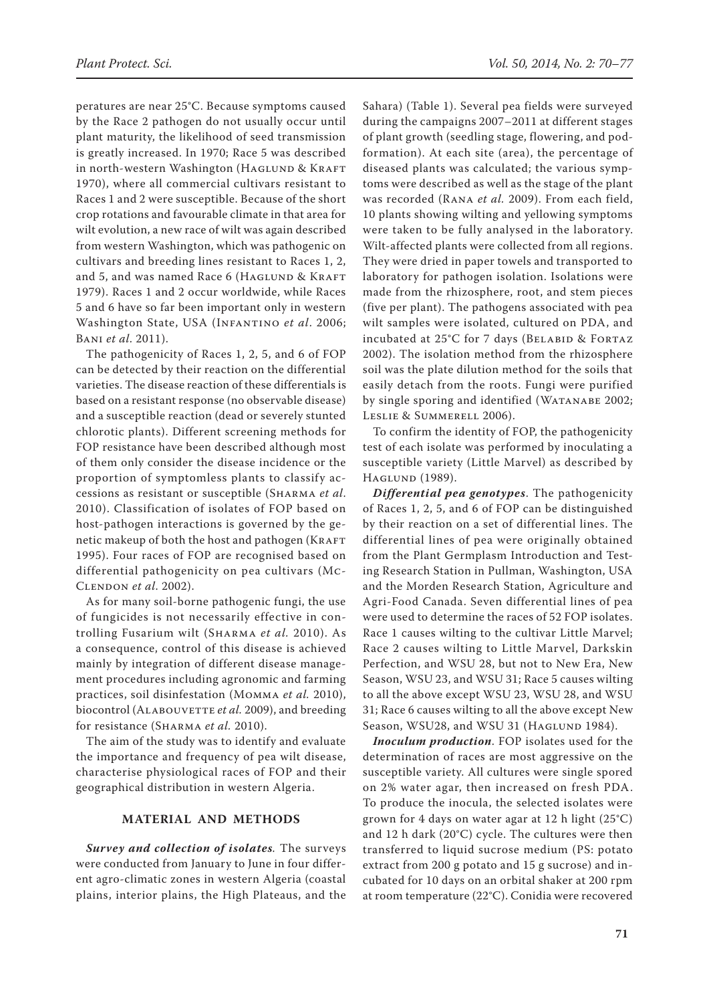peratures are near 25°C. Because symptoms caused by the Race 2 pathogen do not usually occur until plant maturity, the likelihood of seed transmission is greatly increased. In 1970; Race 5 was described in north-western Washington (HAGLUND & KRAFT 1970), where all commercial cultivars resistant to Races 1 and 2 were susceptible. Because of the short crop rotations and favourable climate in that area for wilt evolution, a new race of wilt was again described from western Washington, which was pathogenic on cultivars and breeding lines resistant to Races 1, 2, and 5, and was named Race 6 (HAGLUND & KRAFT 1979). Races 1 and 2 occur worldwide, while Races 5 and 6 have so far been important only in western Washington State, USA (Infantino *et al*. 2006; Bani *et al*. 2011).

The pathogenicity of Races 1, 2, 5, and 6 of FOP can be detected by their reaction on the differential varieties. The disease reaction of these differentials is based on a resistant response (no observable disease) and a susceptible reaction (dead or severely stunted chlorotic plants). Different screening methods for FOP resistance have been described although most of them only consider the disease incidence or the proportion of symptomless plants to classify accessions as resistant or susceptible (Sharma *et al*. 2010). Classification of isolates of FOP based on host-pathogen interactions is governed by the genetic makeup of both the host and pathogen (KRAFT 1995). Four races of FOP are recognised based on differential pathogenicity on pea cultivars (Mc-Clendon *et al*. 2002).

As for many soil-borne pathogenic fungi, the use of fungicides is not necessarily effective in controlling Fusarium wilt (Sharma *et al.* 2010). As a consequence, control of this disease is achieved mainly by integration of different disease management procedures including agronomic and farming practices, soil disinfestation (Momma *et al.* 2010), biocontrol (ALABOUVETTE et al. 2009), and breeding for resistance (Sharma *et al.* 2010).

The aim of the study was to identify and evaluate the importance and frequency of pea wilt disease, characterise physiological races of FOP and their geographical distribution in western Algeria.

## **MATERIAL AND METHODS**

*Survey and collection of isolates.* The surveys were conducted from January to June in four different agro-climatic zones in western Algeria (coastal plains, interior plains, the High Plateaus, and the

Sahara) (Table 1). Several pea fields were surveyed during the campaigns 2007–2011 at different stages of plant growth (seedling stage, flowering, and podformation). At each site (area), the percentage of diseased plants was calculated; the various symptoms were described as well as the stage of the plant was recorded (Rana *et al.* 2009). From each field, 10 plants showing wilting and yellowing symptoms were taken to be fully analysed in the laboratory. Wilt-affected plants were collected from all regions. They were dried in paper towels and transported to laboratory for pathogen isolation. Isolations were made from the rhizosphere, root, and stem pieces (five per plant). The pathogens associated with pea wilt samples were isolated, cultured on PDA, and incubated at 25°C for 7 days (BELABID & FORTAZ 2002). The isolation method from the rhizosphere soil was the plate dilution method for the soils that easily detach from the roots. Fungi were purified by single sporing and identified (WATANABE 2002; LESLIE & SUMMERELL 2006).

To confirm the identity of FOP, the pathogenicity test of each isolate was performed by inoculating a susceptible variety (Little Marvel) as described by Haglund (1989).

*Differential pea genotypes*. The pathogenicity of Races 1, 2, 5, and 6 of FOP can be distinguished by their reaction on a set of differential lines. The differential lines of pea were originally obtained from the Plant Germplasm Introduction and Testing Research Station in Pullman, Washington, USA and the Morden Research Station, Agriculture and Agri-Food Canada. Seven differential lines of pea were used to determine the races of 52 FOP isolates. Race 1 causes wilting to the cultivar Little Marvel; Race 2 causes wilting to Little Marvel, Darkskin Perfection, and WSU 28, but not to New Era, New Season, WSU 23, and WSU 31; Race 5 causes wilting to all the above except WSU 23, WSU 28, and WSU 31; Race 6 causes wilting to all the above except New Season, WSU28, and WSU 31 (HAGLUND 1984).

*Inoculum production*. FOP isolates used for the determination of races are most aggressive on the susceptible variety. All cultures were single spored on 2% water agar, then increased on fresh PDA. To produce the inocula, the selected isolates were grown for 4 days on water agar at 12 h light (25°C) and 12 h dark (20°C) cycle. The cultures were then transferred to liquid sucrose medium (PS: potato extract from 200 g potato and 15 g sucrose) and incubated for 10 days on an orbital shaker at 200 rpm at room temperature (22°C). Conidia were recovered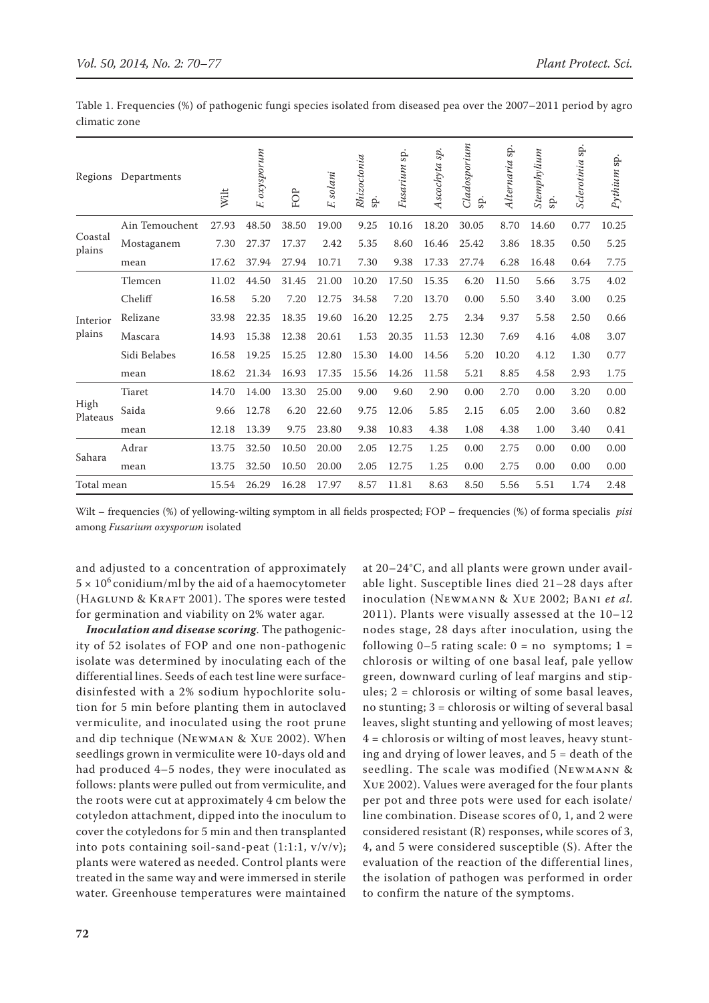|               | Table 1. Frequencies (%) of pathogenic fungi species isolated from diseased pea over the 2007–2011 period by agro |  |  |  |
|---------------|-------------------------------------------------------------------------------------------------------------------|--|--|--|
| climatic zone |                                                                                                                   |  |  |  |

|                               | Regions Departments | Wilt  | $\alpha$ ysporum<br>E. | FOP   | solani<br>Ę | Rhizoctonia<br>sp. | Fusarium sp. | Ascochyta sp. | Cladosporium<br>Sp. | Alternaria sp. | Stemphylium<br>SP. | Sclerotinia sp. | Pythium sp. |
|-------------------------------|---------------------|-------|------------------------|-------|-------------|--------------------|--------------|---------------|---------------------|----------------|--------------------|-----------------|-------------|
|                               | Ain Temouchent      | 27.93 | 48.50                  | 38.50 | 19.00       | 9.25               | 10.16        | 18.20         | 30.05               | 8.70           | 14.60              | 0.77            | 10.25       |
|                               | Mostaganem          | 7.30  | 27.37                  | 17.37 | 2.42        | 5.35               | 8.60         | 16.46         | 25.42               | 3.86           | 18.35              | 0.50            | 5.25        |
| Coastal<br>plains<br>Interior | mean                | 17.62 | 37.94                  | 27.94 | 10.71       | 7.30               | 9.38         | 17.33         | 27.74               | 6.28           | 16.48              | 0.64            | 7.75        |
|                               | Tlemcen             | 11.02 | 44.50                  | 31.45 | 21.00       | 10.20              | 17.50        | 15.35         | 6.20                | 11.50          | 5.66               | 3.75            | 4.02        |
|                               | Cheliff             | 16.58 | 5.20                   | 7.20  | 12.75       | 34.58              | 7.20         | 13.70         | 0.00                | 5.50           | 3.40               | 3.00            | 0.25        |
|                               | Relizane            | 33.98 | 22.35                  | 18.35 | 19.60       | 16.20              | 12.25        | 2.75          | 2.34                | 9.37           | 5.58               | 2.50            | 0.66        |
| plains                        | Mascara             | 14.93 | 15.38                  | 12.38 | 20.61       | 1.53               | 20.35        | 11.53         | 12.30               | 7.69           | 4.16               | 4.08            | 3.07        |
|                               | Sidi Belabes        | 16.58 | 19.25                  | 15.25 | 12.80       | 15.30              | 14.00        | 14.56         | 5.20                | 10.20          | 4.12               | 1.30            | 0.77        |
|                               | mean                | 18.62 | 21.34                  | 16.93 | 17.35       | 15.56              | 14.26        | 11.58         | 5.21                | 8.85           | 4.58               | 2.93            | 1.75        |
|                               | Tiaret              | 14.70 | 14.00                  | 13.30 | 25.00       | 9.00               | 9.60         | 2.90          | 0.00                | 2.70           | 0.00               | 3.20            | 0.00        |
| High<br>Plateaus              | Saida               | 9.66  | 12.78                  | 6.20  | 22.60       | 9.75               | 12.06        | 5.85          | 2.15                | 6.05           | 2.00               | 3.60            | 0.82        |
|                               | mean                | 12.18 | 13.39                  | 9.75  | 23.80       | 9.38               | 10.83        | 4.38          | 1.08                | 4.38           | 1.00               | 3.40            | 0.41        |
|                               | Adrar               | 13.75 | 32.50                  | 10.50 | 20.00       | 2.05               | 12.75        | 1.25          | 0.00                | 2.75           | 0.00               | 0.00            | 0.00        |
| Sahara                        | mean                | 13.75 | 32.50                  | 10.50 | 20.00       | 2.05               | 12.75        | 1.25          | 0.00                | 2.75           | 0.00               | 0.00            | 0.00        |
| Total mean                    |                     | 15.54 | 26.29                  | 16.28 | 17.97       | 8.57               | 11.81        | 8.63          | 8.50                | 5.56           | 5.51               | 1.74            | 2.48        |

Wilt – frequencies (%) of yellowing-wilting symptom in all fields prospected; FOP – frequencies (%) of forma specialis *pisi* among *Fusarium oxysporum* isolated

and adjusted to a concentration of approximately  $5 \times 10^6$  conidium/ml by the aid of a haemocytometer (HAGLUND & KRAFT 2001). The spores were tested for germination and viability on 2% water agar.

*Inoculation and disease scoring*. The pathogenicity of 52 isolates of FOP and one non-pathogenic isolate was determined by inoculating each of the differential lines. Seeds of each test line were surfacedisinfested with a 2% sodium hypochlorite solution for 5 min before planting them in autoclaved vermiculite, and inoculated using the root prune and dip technique (Newman & Xue 2002). When seedlings grown in vermiculite were 10-days old and had produced 4–5 nodes, they were inoculated as follows: plants were pulled out from vermiculite, and the roots were cut at approximately 4 cm below the cotyledon attachment, dipped into the inoculum to cover the cotyledons for 5 min and then transplanted into pots containing soil-sand-peat  $(1:1:1, v/v/v);$ plants were watered as needed. Control plants were treated in the same way and were immersed in sterile water. Greenhouse temperatures were maintained

at 20–24°C, and all plants were grown under available light. Susceptible lines died 21–28 days after inoculation (Newmann & Xue 2002; Bani *et al.* 2011). Plants were visually assessed at the 10–12 nodes stage, 28 days after inoculation, using the following  $0-5$  rating scale:  $0 = no$  symptoms;  $1 =$ chlorosis or wilting of one basal leaf, pale yellow green, downward curling of leaf margins and stipules; 2 = chlorosis or wilting of some basal leaves, no stunting; 3 = chlorosis or wilting of several basal leaves, slight stunting and yellowing of most leaves; 4 = chlorosis or wilting of most leaves, heavy stunting and drying of lower leaves, and 5 = death of the seedling. The scale was modified (Newmann & Xue 2002). Values were averaged for the four plants per pot and three pots were used for each isolate/ line combination. Disease scores of 0, 1, and 2 were considered resistant (R) responses, while scores of 3, 4, and 5 were considered susceptible (S). After the evaluation of the reaction of the differential lines, the isolation of pathogen was performed in order to confirm the nature of the symptoms.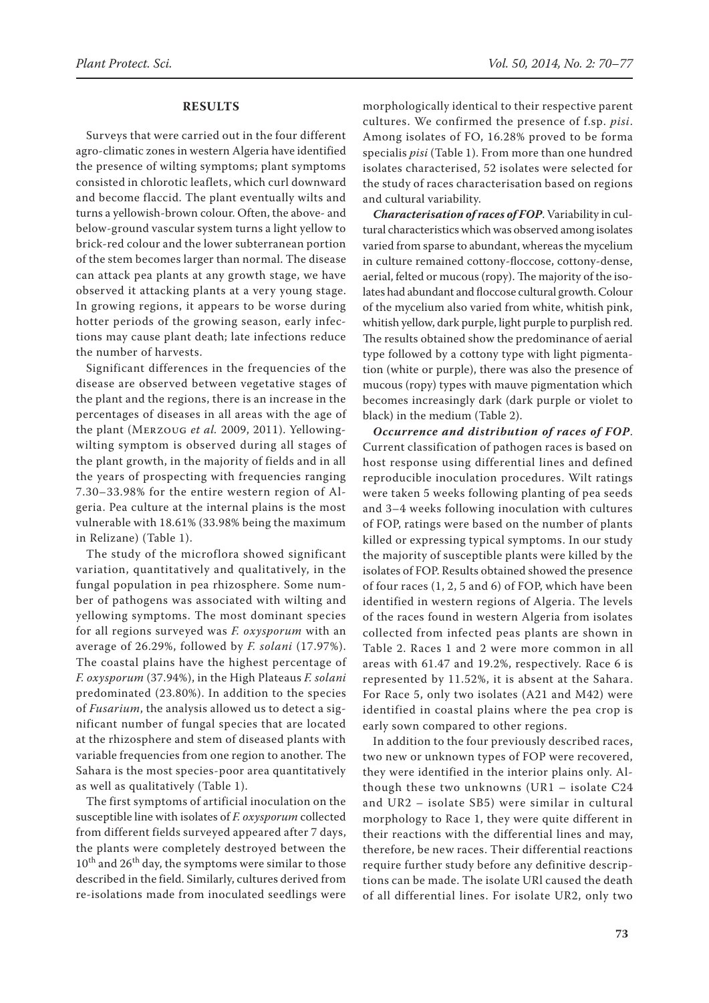#### **RESULTS**

Surveys that were carried out in the four different agro-climatic zones in western Algeria have identified the presence of wilting symptoms; plant symptoms consisted in chlorotic leaflets, which curl downward and become flaccid. The plant eventually wilts and turns a yellowish-brown colour. Often, the above- and below-ground vascular system turns a light yellow to brick-red colour and the lower subterranean portion of the stem becomes larger than normal. The disease can attack pea plants at any growth stage, we have observed it attacking plants at a very young stage. In growing regions, it appears to be worse during hotter periods of the growing season, early infections may cause plant death; late infections reduce the number of harvests.

Significant differences in the frequencies of the disease are observed between vegetative stages of the plant and the regions, there is an increase in the percentages of diseases in all areas with the age of the plant (Merzoug *et al.* 2009, 2011). Yellowingwilting symptom is observed during all stages of the plant growth, in the majority of fields and in all the years of prospecting with frequencies ranging 7.30–33.98% for the entire western region of Algeria. Pea culture at the internal plains is the most vulnerable with 18.61% (33.98% being the maximum in Relizane) (Table 1).

The study of the microflora showed significant variation, quantitatively and qualitatively, in the fungal population in pea rhizosphere. Some number of pathogens was associated with wilting and yellowing symptoms. The most dominant species for all regions surveyed was *F. oxysporum* with an average of 26.29%, followed by *F. solani* (17.97%). The coastal plains have the highest percentage of *F. oxysporum* (37.94%), in the High Plateaus *F. solani* predominated (23.80%). In addition to the species of *Fusarium*, the analysis allowed us to detect a significant number of fungal species that are located at the rhizosphere and stem of diseased plants with variable frequencies from one region to another. The Sahara is the most species-poor area quantitatively as well as qualitatively (Table 1).

The first symptoms of artificial inoculation on the susceptible line with isolates of *F. oxysporum* collected from different fields surveyed appeared after 7 days, the plants were completely destroyed between the  $10^{\text{th}}$  and  $26^{\text{th}}$  day, the symptoms were similar to those described in the field. Similarly, cultures derived from re-isolations made from inoculated seedlings were

morphologically identical to their respective parent cultures. We confirmed the presence of f.sp. *pisi*. Among isolates of FO, 16.28% proved to be forma specialis *pisi* (Table 1). From more than one hundred isolates characterised, 52 isolates were selected for the study of races characterisation based on regions and cultural variability.

*Characterisation of races of FOP*. Variability in cultural characteristics which was observed among isolates varied from sparse to abundant, whereas the mycelium in culture remained cottony-floccose, cottony-dense, aerial, felted or mucous (ropy). The majority of the isolates had abundant and floccose cultural growth. Colour of the mycelium also varied from white, whitish pink, whitish yellow, dark purple, light purple to purplish red. The results obtained show the predominance of aerial type followed by a cottony type with light pigmentation (white or purple), there was also the presence of mucous (ropy) types with mauve pigmentation which becomes increasingly dark (dark purple or violet to black) in the medium (Table 2).

*Occurrence and distribution of races of FOP*. Current classification of pathogen races is based on host response using differential lines and defined reproducible inoculation procedures. Wilt ratings were taken 5 weeks following planting of pea seeds and 3–4 weeks following inoculation with cultures of FOP, ratings were based on the number of plants killed or expressing typical symptoms. In our study the majority of susceptible plants were killed by the isolates of FOP. Results obtained showed the presence of four races (1, 2, 5 and 6) of FOP, which have been identified in western regions of Algeria. The levels of the races found in western Algeria from isolates collected from infected peas plants are shown in Table 2. Races 1 and 2 were more common in all areas with 61.47 and 19.2%, respectively. Race 6 is represented by 11.52%, it is absent at the Sahara. For Race 5, only two isolates (A21 and M42) were identified in coastal plains where the pea crop is early sown compared to other regions.

In addition to the four previously described races, two new or unknown types of FOP were recovered, they were identified in the interior plains only. Although these two unknowns (UR1 – isolate C24 and UR2 – isolate SB5) were similar in cultural morphology to Race 1, they were quite different in their reactions with the differential lines and may, therefore, be new races. Their differential reactions require further study before any definitive descriptions can be made. The isolate URl caused the death of all differential lines. For isolate UR2, only two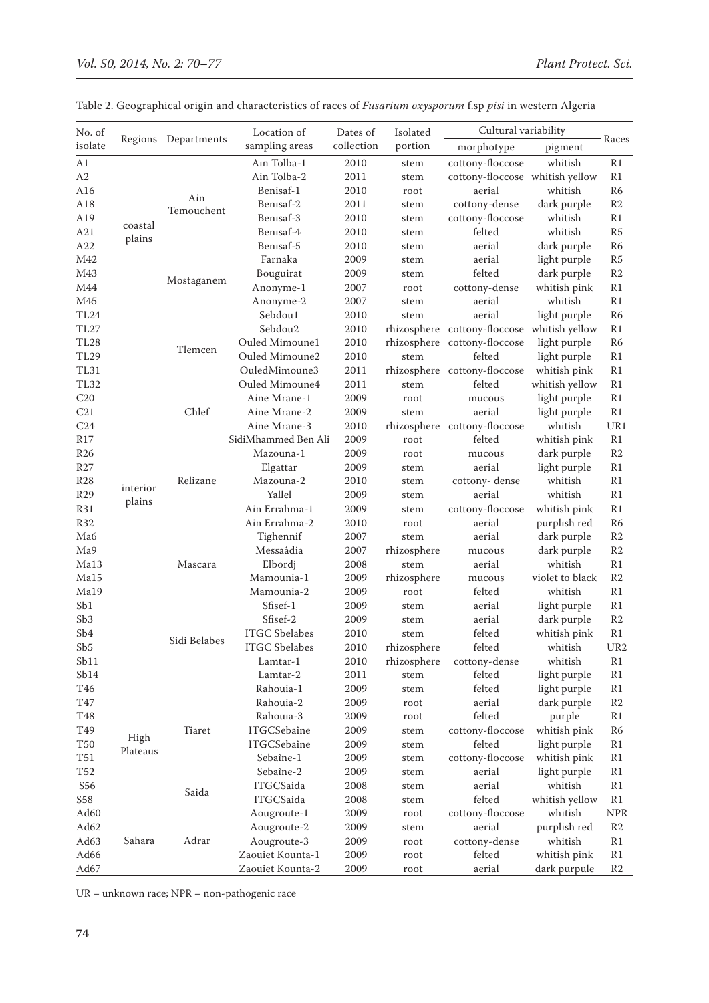| No. of             |          |              | Location of                                                              | Dates of                                               | Isolated     | Cultural variability            |                 |                 |
|--------------------|----------|--------------|--------------------------------------------------------------------------|--------------------------------------------------------|--------------|---------------------------------|-----------------|-----------------|
| Regions<br>isolate |          | Departments  | sampling areas                                                           | collection                                             | portion      | morphotype                      | pigment         | Races           |
| A1                 |          |              | Ain Tolba-1                                                              | 2010                                                   | stem         | cottony-floccose                | whitish         | R1              |
| A2                 |          |              | Ain Tolba-2                                                              | 2011                                                   | stem         | cottony-floccose whitish yellow |                 | R1              |
| A16                |          |              | Benisaf-1                                                                | 2010                                                   | root         | aerial                          | whitish         | R <sub>6</sub>  |
| A18                |          | Ain          | Benisaf-2                                                                | 2011                                                   | stem         | cottony-dense                   | dark purple     | R <sub>2</sub>  |
| A19                |          | Temouchent   | Benisaf-3                                                                | 2010                                                   | stem         | cottony-floccose                | whitish         | R1              |
| A21                | coastal  |              | Benisaf-4                                                                | 2010                                                   |              | felted                          | whitish         | R <sub>5</sub>  |
| A22                | plains   |              | Benisaf-5                                                                | 2010                                                   | stem         | aerial                          | dark purple     | R <sub>6</sub>  |
| M42                |          |              | Farnaka                                                                  | 2009                                                   | stem         | aerial                          | light purple    | R5              |
| M43                |          |              |                                                                          | 2009                                                   | stem         | felted                          | dark purple     | R2              |
| M44                |          | Mostaganem   | Bouguirat<br>Anonyme-1                                                   | 2007                                                   | stem<br>root |                                 | whitish pink    | R1              |
| M45                |          |              |                                                                          |                                                        |              | cottony-dense<br>aerial         | whitish         | R1              |
|                    |          |              | Anonyme-2                                                                | 2007                                                   | stem         |                                 |                 |                 |
| <b>TL24</b>        |          |              | Sebdou1                                                                  | 2010                                                   | stem         | aerial                          | light purple    | R <sub>6</sub>  |
| <b>TL27</b>        |          |              | Sebdou2                                                                  | 2010                                                   |              | rhizosphere cottony-floccose    | whitish yellow  | R1              |
| <b>TL28</b>        |          | Tlemcen      |                                                                          | Ouled Mimoune1<br>2010<br>rhizosphere cottony-floccose |              | light purple                    | R <sub>6</sub>  |                 |
| <b>TL29</b>        |          |              | Ouled Mimoune2<br>2010<br>felted<br>stem<br>rhizosphere cottony-floccose |                                                        | light purple | R1                              |                 |                 |
| <b>TL31</b>        |          |              | OuledMimoune3                                                            | 2011                                                   |              |                                 | whitish pink    | R1              |
| <b>TL32</b>        |          |              | Ouled Mimoune4                                                           | 2011                                                   | stem         | felted                          | whitish yellow  | R1              |
| C20                |          |              | Aine Mrane-1                                                             | 2009                                                   | root         | mucous                          | light purple    | R1              |
| C21                |          | Chlef        | Aine Mrane-2                                                             | 2009                                                   | stem         | aerial                          | light purple    | R1              |
| C <sub>24</sub>    |          |              | Aine Mrane-3                                                             | 2010                                                   | rhizosphere  | cottony-floccose                | whitish         | UR1             |
| R17                |          |              | SidiMhammed Ben Ali                                                      | 2009                                                   | root         | felted                          | whitish pink    | R1              |
| R26                |          |              | Mazouna-1                                                                | 2009                                                   | root         | mucous                          | dark purple     | R <sub>2</sub>  |
| R27                |          |              | Elgattar                                                                 | 2009                                                   | stem         | aerial                          | light purple    | R1              |
| R28                | interior | Relizane     | Mazouna-2                                                                | 2010                                                   | stem         | cottony-dense                   | whitish         | R1              |
| R29                | plains   |              | Yallel                                                                   | 2009                                                   | stem         | aerial                          | whitish         | R1              |
| R31                |          |              | Ain Errahma-1                                                            | 2009                                                   | stem         | cottony-floccose                | whitish pink    | R1              |
| <b>R32</b>         |          |              | Ain Errahma-2                                                            | 2010                                                   | root         | aerial                          | purplish red    | R <sub>6</sub>  |
| Ma6                |          |              | Tighennif                                                                | 2007                                                   | stem         | aerial                          | dark purple     | R2              |
| Ma9                |          |              | Messaâdia                                                                | 2007                                                   | rhizosphere  | mucous                          | dark purple     | R <sub>2</sub>  |
| Ma13               |          | Mascara      | Elbordj                                                                  | 2008                                                   | stem         | aerial                          | whitish         | R1              |
| Ma15               |          |              | Mamounia-1                                                               | 2009                                                   | rhizosphere  | mucous                          | violet to black | R <sub>2</sub>  |
| Ma19               |          |              | Mamounia-2                                                               | 2009                                                   | root         | felted                          | whitish         | R1              |
| Sb1                |          |              | Sfisef-1                                                                 | 2009                                                   | stem         | aerial                          | light purple    | R1              |
| Sb <sub>3</sub>    |          |              | Sfisef-2                                                                 | 2009                                                   | stem         | aerial                          | dark purple     | R <sub>2</sub>  |
| Sb <sub>4</sub>    |          | Sidi Belabes | <b>ITGC</b> Sbelabes                                                     | 2010                                                   | stem         | felted                          | whitish pink    | R1              |
| Sb5                |          |              | <b>ITGC</b> Sbelabes                                                     | 2010                                                   | rhizosphere  | felted                          | whitish         | UR <sub>2</sub> |
| Sb11               |          |              | Lamtar-1                                                                 | 2010                                                   | rhizosphere  | cottony-dense                   | whitish         | R1              |
| Sb14               |          |              | Lamtar-2                                                                 | 2011                                                   | stem         | felted                          | light purple    | R1              |
| T46                |          |              | Rahouia-1                                                                | 2009                                                   | stem         | felted                          | light purple    | R1              |
| T47                |          |              | Rahouia-2                                                                | 2009                                                   | root         | aerial                          | dark purple     | R2              |
| T48                |          |              | Rahouia-3                                                                | 2009                                                   | root         | felted                          | purple          | R1              |
| T49                | High     | Tiaret       | ITGCSebaîne                                                              | 2009                                                   | stem         | cottony-floccose                | whitish pink    | R <sub>6</sub>  |
| <b>T50</b>         | Plateaus |              | ITGCSebaîne                                                              | 2009                                                   | stem         | felted                          | light purple    | R1              |
| T51                |          |              | Sebaîne-1                                                                | 2009                                                   | stem         | cottony-floccose                | whitish pink    | R1              |
| T <sub>52</sub>    |          |              | Sebaîne-2                                                                | 2009                                                   | stem         | aerial                          | light purple    | R1              |
| S56                |          | Saida        | ITGCSaida                                                                | 2008                                                   | stem         | aerial                          | whitish         | R1              |
| S58                |          |              | ITGCSaida                                                                | 2008                                                   | stem         | felted                          | whitish yellow  | R1              |
| Ad60               |          |              | Aougroute-1                                                              | 2009                                                   | root         | cottony-floccose                | whitish         | <b>NPR</b>      |
| Ad62               |          |              | Aougroute-2                                                              | 2009                                                   | stem         | aerial                          | purplish red    | R2              |
| Ad63               | Sahara   | Adrar        | Aougroute-3                                                              | 2009                                                   | root         | cottony-dense                   | whitish         | R1              |
| Ad66               |          |              | Zaouiet Kounta-1                                                         | 2009                                                   | root         | felted                          | whitish pink    | R1              |
| Ad67               |          |              | Zaouiet Kounta-2                                                         | 2009                                                   | root         | aerial                          | dark purpule    | R2              |

|  |  |  |  | Table 2. Geographical origin and characteristics of races of <i>Fusarium oxysporum</i> f.sp <i>pisi</i> in western Algeria |  |  |  |  |  |  |
|--|--|--|--|----------------------------------------------------------------------------------------------------------------------------|--|--|--|--|--|--|
|--|--|--|--|----------------------------------------------------------------------------------------------------------------------------|--|--|--|--|--|--|

UR – unknown race; NPR – non-pathogenic race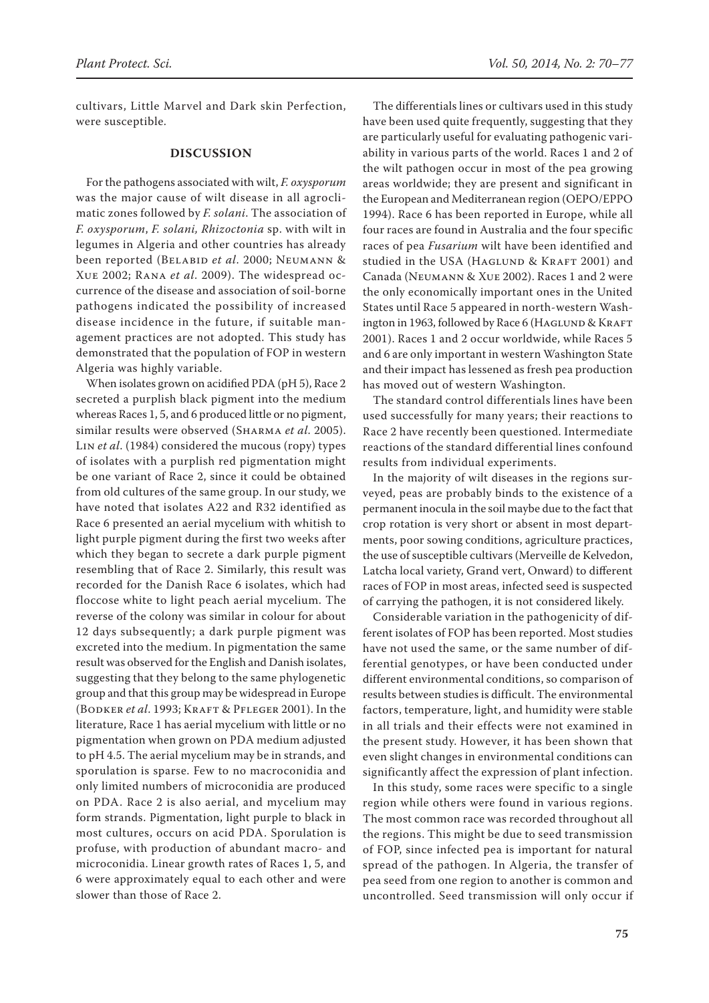cultivars, Little Marvel and Dark skin Perfection, were susceptible.

## **DISCUSSION**

For the pathogens associated with wilt, *F. oxysporum* was the major cause of wilt disease in all agroclimatic zones followed by *F. solani*. The association of *F. oxysporum*, *F. solani, Rhizoctonia* sp. with wilt in legumes in Algeria and other countries has already been reported (Belabid *et al*. 2000; Neumann & Xue 2002; Rana *et al*. 2009). The widespread occurrence of the disease and association of soil-borne pathogens indicated the possibility of increased disease incidence in the future, if suitable management practices are not adopted. This study has demonstrated that the population of FOP in western Algeria was highly variable.

When isolates grown on acidified PDA (pH 5), Race 2 secreted a purplish black pigment into the medium whereas Races 1, 5, and 6 produced little or no pigment, similar results were observed (Sharma *et al*. 2005). Lin *et al*. (1984) considered the mucous (ropy) types of isolates with a purplish red pigmentation might be one variant of Race 2, since it could be obtained from old cultures of the same group. In our study, we have noted that isolates A22 and R32 identified as Race 6 presented an aerial mycelium with whitish to light purple pigment during the first two weeks after which they began to secrete a dark purple pigment resembling that of Race 2. Similarly, this result was recorded for the Danish Race 6 isolates, which had floccose white to light peach aerial mycelium. The reverse of the colony was similar in colour for about 12 days subsequently; a dark purple pigment was excreted into the medium. In pigmentation the same result was observed for the English and Danish isolates, suggesting that they belong to the same phylogenetic group and that this group may be widespread in Europe (Bodker *et al*. 1993; Kraft & Pfleger 2001). In the literature, Race 1 has aerial mycelium with little or no pigmentation when grown on PDA medium adjusted to pH 4.5. The aerial mycelium may be in strands, and sporulation is sparse. Few to no macroconidia and only limited numbers of microconidia are produced on PDA. Race 2 is also aerial, and mycelium may form strands. Pigmentation, light purple to black in most cultures, occurs on acid PDA. Sporulation is profuse, with production of abundant macro- and microconidia. Linear growth rates of Races 1, 5, and 6 were approximately equal to each other and were slower than those of Race 2.

The differentials lines or cultivars used in this study have been used quite frequently, suggesting that they are particularly useful for evaluating pathogenic variability in various parts of the world. Races 1 and 2 of the wilt pathogen occur in most of the pea growing areas worldwide; they are present and significant in the European and Mediterranean region (OEPO/EPPO 1994). Race 6 has been reported in Europe, while all four races are found in Australia and the four specific races of pea *Fusarium* wilt have been identified and studied in the USA (HAGLUND & KRAFT 2001) and Canada (Neumann & Xue 2002). Races 1 and 2 were the only economically important ones in the United States until Race 5 appeared in north-western Washington in 1963, followed by Race 6 (HAGLUND & KRAFT 2001). Races 1 and 2 occur worldwide, while Races 5 and 6 are only important in western Washington State and their impact has lessened as fresh pea production has moved out of western Washington.

The standard control differentials lines have been used successfully for many years; their reactions to Race 2 have recently been questioned. Intermediate reactions of the standard differential lines confound results from individual experiments.

In the majority of wilt diseases in the regions surveyed, peas are probably binds to the existence of a permanent inocula in the soil maybe due to the fact that crop rotation is very short or absent in most departments, poor sowing conditions, agriculture practices, the use of susceptible cultivars (Merveille de Kelvedon, Latcha local variety, Grand vert, Onward) to different races of FOP in most areas, infected seed is suspected of carrying the pathogen, it is not considered likely.

Considerable variation in the pathogenicity of different isolates of FOP has been reported. Most studies have not used the same, or the same number of differential genotypes, or have been conducted under different environmental conditions, so comparison of results between studies is difficult. The environmental factors, temperature, light, and humidity were stable in all trials and their effects were not examined in the present study. However, it has been shown that even slight changes in environmental conditions can significantly affect the expression of plant infection.

In this study, some races were specific to a single region while others were found in various regions. The most common race was recorded throughout all the regions. This might be due to seed transmission of FOP, since infected pea is important for natural spread of the pathogen. In Algeria, the transfer of pea seed from one region to another is common and uncontrolled. Seed transmission will only occur if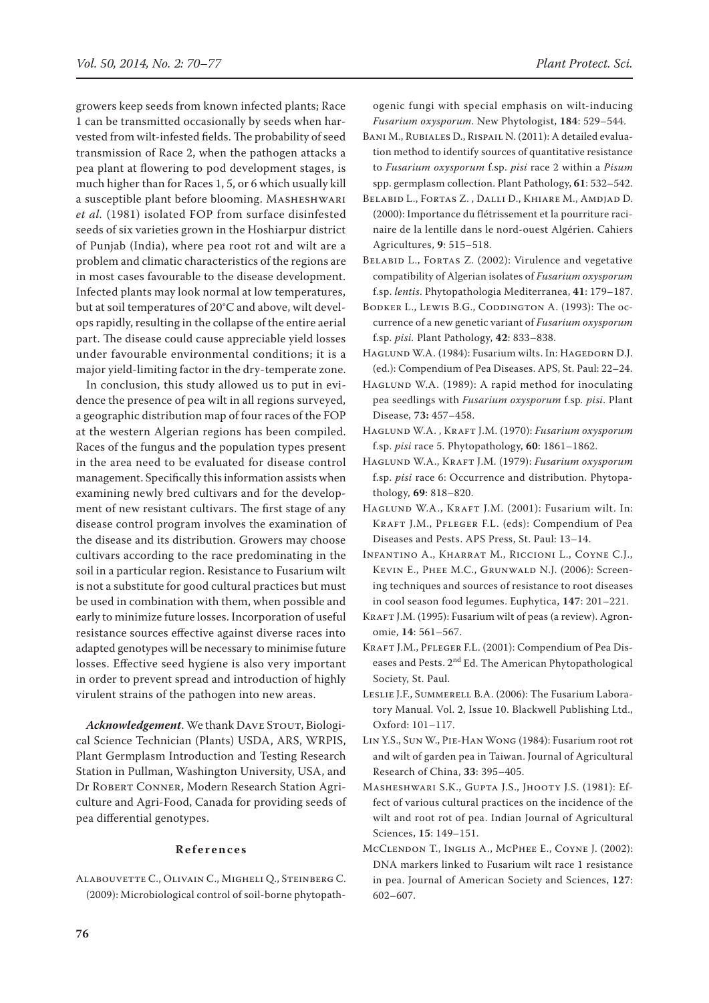growers keep seeds from known infected plants; Race 1 can be transmitted occasionally by seeds when harvested from wilt-infested fields. The probability of seed transmission of Race 2, when the pathogen attacks a pea plant at flowering to pod development stages, is much higher than for Races 1, 5, or 6 which usually kill a susceptible plant before blooming. Masheshwari *et al.* (1981) isolated FOP from surface disinfested seeds of six varieties grown in the Hoshiarpur district of Punjab (India), where pea root rot and wilt are a problem and climatic characteristics of the regions are in most cases favourable to the disease development. Infected plants may look normal at low temperatures, but at soil temperatures of 20°C and above, wilt develops rapidly, resulting in the collapse of the entire aerial part. The disease could cause appreciable yield losses under favourable environmental conditions; it is a major yield-limiting factor in the dry-temperate zone.

In conclusion, this study allowed us to put in evidence the presence of pea wilt in all regions surveyed, a geographic distribution map of four races of the FOP at the western Algerian regions has been compiled. Races of the fungus and the population types present in the area need to be evaluated for disease control management. Specifically this information assists when examining newly bred cultivars and for the development of new resistant cultivars. The first stage of any disease control program involves the examination of the disease and its distribution. Growers may choose cultivars according to the race predominating in the soil in a particular region. Resistance to Fusarium wilt is not a substitute for good cultural practices but must be used in combination with them, when possible and early to minimize future losses. Incorporation of useful resistance sources effective against diverse races into adapted genotypes will be necessary to minimise future losses. Effective seed hygiene is also very important in order to prevent spread and introduction of highly virulent strains of the pathogen into new areas.

Acknowledgement. We thank DAVE STOUT, Biological Science Technician (Plants) USDA, ARS, WRPIS, Plant Germplasm Introduction and Testing Research Station in Pullman, Washington University, USA, and Dr Robert Conner, Modern Research Station Agriculture and Agri-Food, Canada for providing seeds of pea differential genotypes.

## **References**

Alabouvette C., Olivain C., Migheli Q., Steinberg C. (2009): Microbiological control of soil-borne phytopathogenic fungi with special emphasis on wilt-inducing *Fusarium oxysporum*. New Phytologist, **184**: 529–544.

- BANI M., RUBIALES D., RISPAIL N. (2011): A detailed evaluation method to identify sources of quantitative resistance to *Fusarium oxysporum* f.sp. *pisi* race 2 within a *Pisum*  spp. germplasm collection. Plant Pathology, **61**: 532–542.
- Belabid L., Fortas Z. , Dalli D., Khiare M., Amdjad D. (2000): Importance du flétrissement et la pourriture racinaire de la lentille dans le nord-ouest Algérien. Cahiers Agricultures, **9**: 515–518.
- BELABID L., FORTAS Z. (2002): Virulence and vegetative compatibility of Algerian isolates of *Fusarium oxysporum* f.sp. *lentis*. Phytopathologia Mediterranea, **41**: 179–187.
- BODKER L., LEWIS B.G., CODDINGTON A. (1993): The occurrence of a new genetic variant of *Fusarium oxysporum* f.sp. *pisi.* Plant Pathology, **42**: 833–838.
- HAGLUND W.A. (1984): Fusarium wilts. In: HAGEDORN D.J. (ed.): Compendium of Pea Diseases. APS, St. Paul: 22–24.
- HAGLUND W.A. (1989): A rapid method for inoculating pea seedlings with *Fusarium oxysporum* f.sp*. pisi*. Plant Disease, **73:** 457–458.
- Haglund W.A. , Kraft J.M. (1970): *Fusarium oxysporum* f.sp. *pisi* race 5. Phytopathology, **60**: 1861–1862.
- Haglund W.A., Kraft J.M. (1979): *Fusarium oxysporum* f.sp. *pisi* race 6: Occurrence and distribution. Phytopathology, **69**: 818–820.
- HAGLUND W.A., KRAFT J.M. (2001): Fusarium wilt. In: Kraft J.M., Pfleger F.L. (eds): Compendium of Pea Diseases and Pests. APS Press, St. Paul: 13–14.
- Infantino A., Kharrat M., Riccioni L., Coyne C.J., Kevin E., Phee M.C., Grunwald N.J. (2006): Screening techniques and sources of resistance to root diseases in cool season food legumes. Euphytica, **147**: 201–221.
- KRAFT J.M. (1995): Fusarium wilt of peas (a review). Agronomie, **14**: 561–567.
- KRAFT J.M., PFLEGER F.L. (2001): Compendium of Pea Diseases and Pests. 2nd Ed. The American Phytopathological Society, St. Paul.
- Leslie J.F., Summerell B.A. (2006): The Fusarium Laboratory Manual. Vol. 2, Issue 10. Blackwell Publishing Ltd., Oxford: 101–117.
- Lin Y.S., Sun W., Pie-Han Wong (1984): Fusarium root rot and wilt of garden pea in Taiwan. Journal of Agricultural Research of China, **33**: 395–405.
- Masheshwari S.K., Gupta J.S., Jhooty J.S. (1981): Effect of various cultural practices on the incidence of the wilt and root rot of pea. Indian Journal of Agricultural Sciences, **15**: 149–151.
- McClendon T., Inglis A., McPhee E., Coyne J. (2002): DNA markers linked to Fusarium wilt race 1 resistance in pea. Journal of American Society and Sciences, **127**: 602–607.